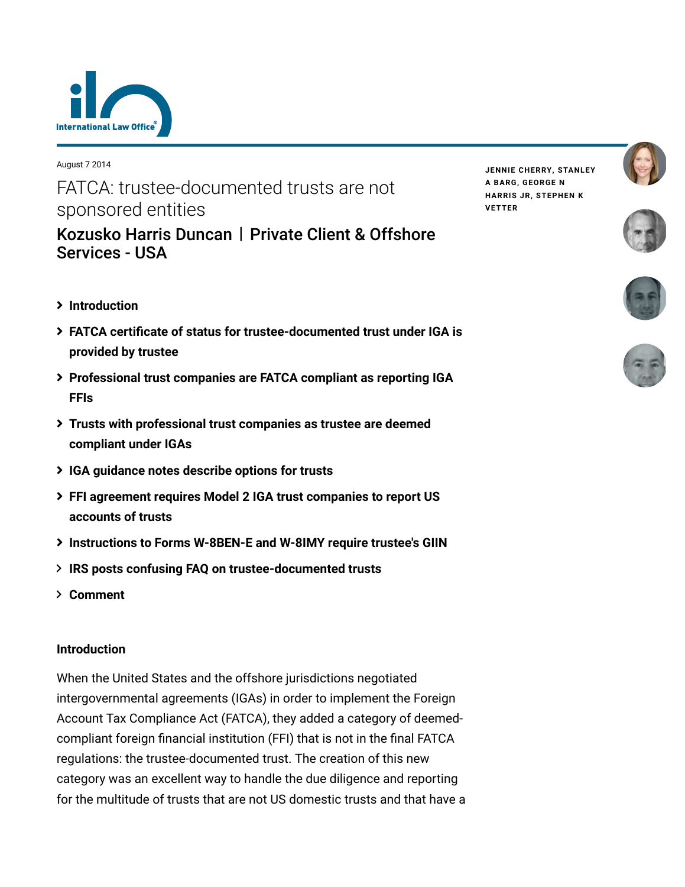

August 7 2014

# FATCA: trustee-documented trusts are not sponsored entities

[Kozusko Harris Duncan](https://www.lexology.com/contributors/23364) | Private Client & Offshore Services - USA

- **[Introduction](#page-0-0)**
- **[FATCA certificate of status for trustee-documented trust under IGA is](#page-1-0) provided by trustee**
- **[Professional trust companies are FATCA compliant as reporting IGA](#page-1-1) FFIs**
- **[Trusts with professional trust companies as trustee are deemed](#page-2-0) compliant under IGAs**
- **[IGA guidance notes describe options for trusts](#page-3-0)**
- **[FFI agreement requires Model 2 IGA trust companies to report US](#page-4-0) accounts of trusts**
- **[Instructions to Forms W-8BEN-E and W-8IMY require trustee's GIIN](#page-4-1)**
- **[IRS posts confusing FAQ on trustee-documented trusts](#page-4-2)**
- **[Comment](#page-5-0)**

### <span id="page-0-0"></span>**Introduction**

When the United States and the offshore jurisdictions negotiated intergovernmental agreements (IGAs) in order to implement the Foreign Account Tax Compliance Act (FATCA), they added a category of deemedcompliant foreign financial institution (FFI) that is not in the final FATCA regulations: the trustee-documented trust. The creation of this new category was an excellent way to handle the due diligence and reporting for the multitude of trusts that are not US domestic trusts and that have a **JENNIE [CHERRY,](https://www.lexology.com/23364/author/Jennie_Cherry/) [STANLEY](https://www.lexology.com/23364/author/Stanley_A_Barg/) A BARG, [GEORGE](https://www.lexology.com/23364/author/George_N_Harris_Jr/) N HARRIS JR, [STEPHEN](https://www.lexology.com/23364/author/Stephen_K_Vetter/) K VETTER**







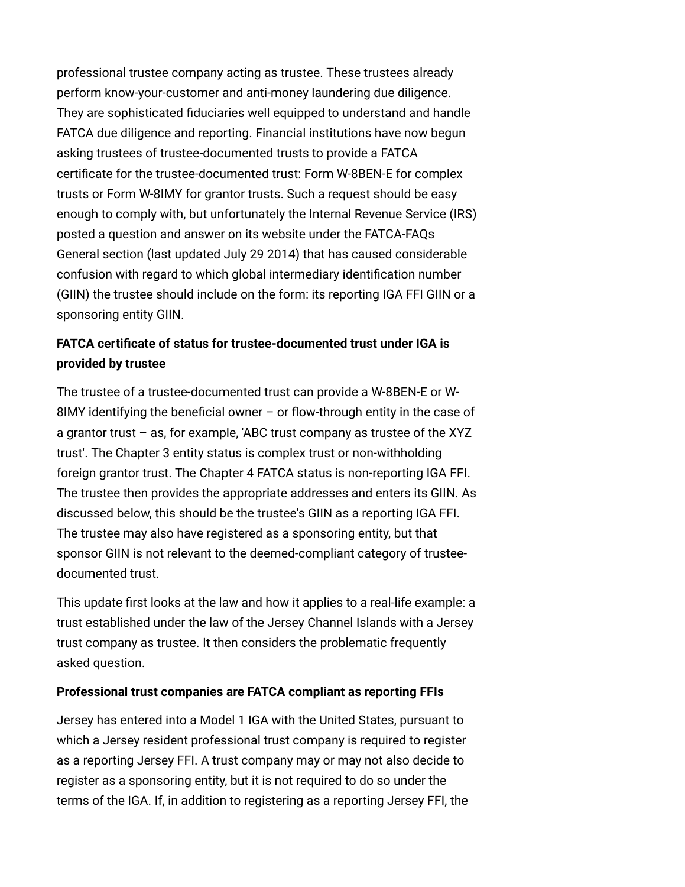professional trustee company acting as trustee. These trustees already perform know-your-customer and anti-money laundering due diligence. They are sophisticated fiduciaries well equipped to understand and handle FATCA due diligence and reporting. Financial institutions have now begun asking trustees of trustee-documented trusts to provide a FATCA certificate for the trustee-documented trust: Form W-8BEN-E for complex trusts or Form W-8IMY for grantor trusts. Such a request should be easy enough to comply with, but unfortunately the Internal Revenue Service (IRS) posted a question and answer on its website under the FATCA-FAQs General section (last updated July 29 2014) that has caused considerable confusion with regard to which global intermediary identification number (GIIN) the trustee should include on the form: its reporting IGA FFI GIIN or a sponsoring entity GIIN.

## <span id="page-1-0"></span>**FATCA certificate of status for trustee-documented trust under IGA is provided by trustee**

The trustee of a trustee-documented trust can provide a W-8BEN-E or W-8IMY identifying the beneficial owner – or flow-through entity in the case of a grantor trust – as, for example, 'ABC trust company as trustee of the XYZ trust'. The Chapter 3 entity status is complex trust or non-withholding foreign grantor trust. The Chapter 4 FATCA status is non-reporting IGA FFI. The trustee then provides the appropriate addresses and enters its GIIN. As discussed below, this should be the trustee's GIIN as a reporting IGA FFI. The trustee may also have registered as a sponsoring entity, but that sponsor GIIN is not relevant to the deemed-compliant category of trusteedocumented trust.

This update first looks at the law and how it applies to a real-life example: a trust established under the law of the Jersey Channel Islands with a Jersey trust company as trustee. It then considers the problematic frequently asked question.

### <span id="page-1-1"></span>**Professional trust companies are FATCA compliant as reporting FFIs**

Jersey has entered into a Model 1 IGA with the United States, pursuant to which a Jersey resident professional trust company is required to register as a reporting Jersey FFI. A trust company may or may not also decide to register as a sponsoring entity, but it is not required to do so under the terms of the IGA. If, in addition to registering as a reporting Jersey FFI, the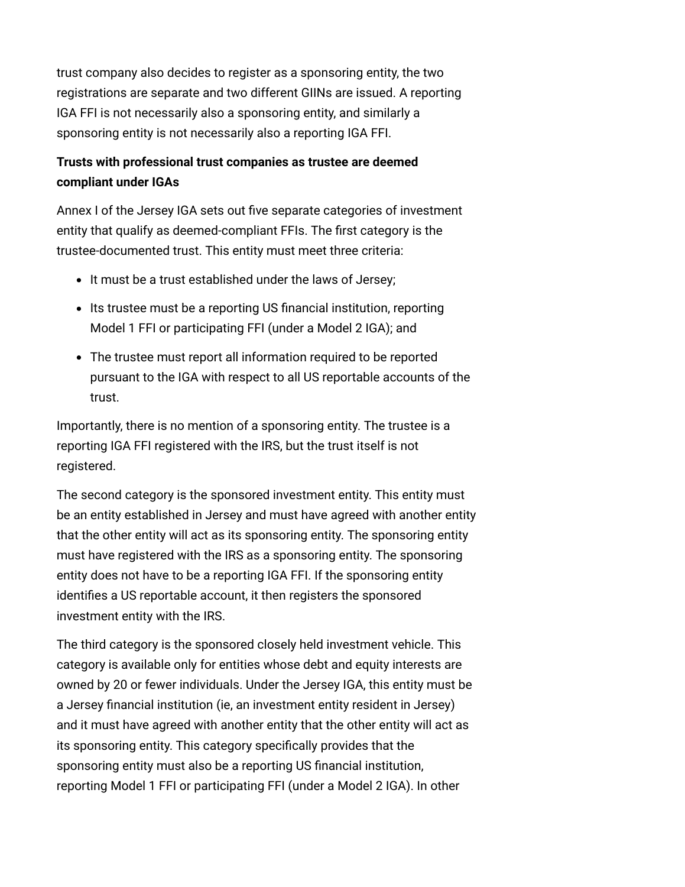trust company also decides to register as a sponsoring entity, the two registrations are separate and two different GIINs are issued. A reporting IGA FFI is not necessarily also a sponsoring entity, and similarly a sponsoring entity is not necessarily also a reporting IGA FFI.

### <span id="page-2-0"></span>**Trusts with professional trust companies as trustee are deemed compliant under IGAs**

Annex I of the Jersey IGA sets out five separate categories of investment entity that qualify as deemed-compliant FFIs. The first category is the trustee-documented trust. This entity must meet three criteria:

- It must be a trust established under the laws of Jersey;
- Its trustee must be a reporting US financial institution, reporting Model 1 FFI or participating FFI (under a Model 2 IGA); and
- The trustee must report all information required to be reported pursuant to the IGA with respect to all US reportable accounts of the trust.

Importantly, there is no mention of a sponsoring entity. The trustee is a reporting IGA FFI registered with the IRS, but the trust itself is not registered.

The second category is the sponsored investment entity. This entity must be an entity established in Jersey and must have agreed with another entity that the other entity will act as its sponsoring entity. The sponsoring entity must have registered with the IRS as a sponsoring entity. The sponsoring entity does not have to be a reporting IGA FFI. If the sponsoring entity identifies a US reportable account, it then registers the sponsored investment entity with the IRS.

The third category is the sponsored closely held investment vehicle. This category is available only for entities whose debt and equity interests are owned by 20 or fewer individuals. Under the Jersey IGA, this entity must be a Jersey financial institution (ie, an investment entity resident in Jersey) and it must have agreed with another entity that the other entity will act as its sponsoring entity. This category specifically provides that the sponsoring entity must also be a reporting US financial institution, reporting Model 1 FFI or participating FFI (under a Model 2 IGA). In other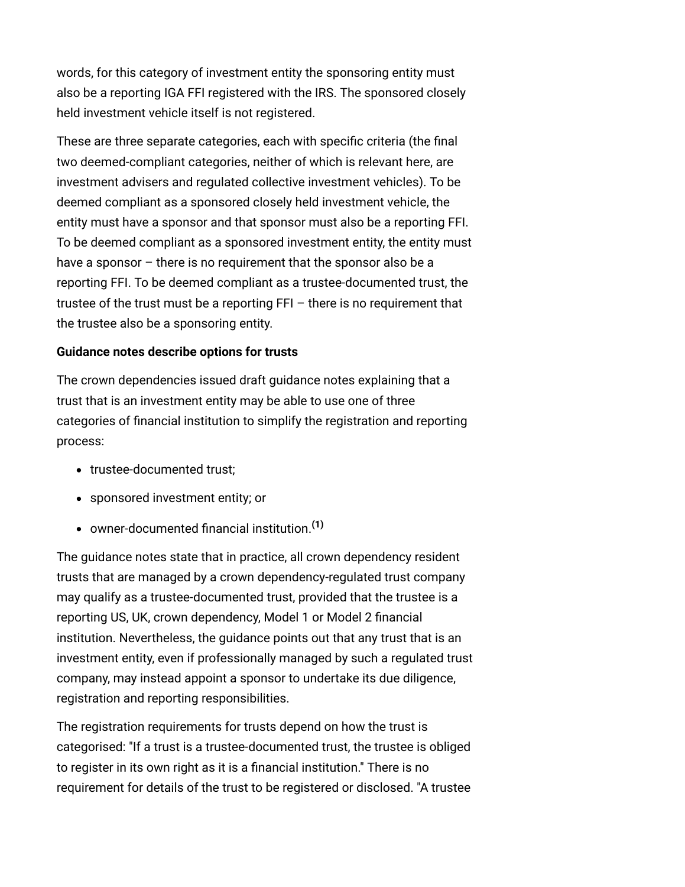words, for this category of investment entity the sponsoring entity must also be a reporting IGA FFI registered with the IRS. The sponsored closely held investment vehicle itself is not registered.

These are three separate categories, each with specific criteria (the final two deemed-compliant categories, neither of which is relevant here, are investment advisers and regulated collective investment vehicles). To be deemed compliant as a sponsored closely held investment vehicle, the entity must have a sponsor and that sponsor must also be a reporting FFI. To be deemed compliant as a sponsored investment entity, the entity must have a sponsor – there is no requirement that the sponsor also be a reporting FFI. To be deemed compliant as a trustee-documented trust, the trustee of the trust must be a reporting FFI – there is no requirement that the trustee also be a sponsoring entity.

#### <span id="page-3-0"></span>**Guidance notes describe options for trusts**

The crown dependencies issued draft guidance notes explaining that a trust that is an investment entity may be able to use one of three categories of financial institution to simplify the registration and reporting process:

- trustee-documented trust;
- sponsored investment entity; or
- owner-documented financial institution.**[\(1\)](#page-6-0)**

The guidance notes state that in practice, all crown dependency resident trusts that are managed by a crown dependency-regulated trust company may qualify as a trustee-documented trust, provided that the trustee is a reporting US, UK, crown dependency, Model 1 or Model 2 financial institution. Nevertheless, the guidance points out that any trust that is an investment entity, even if professionally managed by such a regulated trust company, may instead appoint a sponsor to undertake its due diligence, registration and reporting responsibilities.

The registration requirements for trusts depend on how the trust is categorised: "If a trust is a trustee-documented trust, the trustee is obliged to register in its own right as it is a financial institution." There is no requirement for details of the trust to be registered or disclosed. "A trustee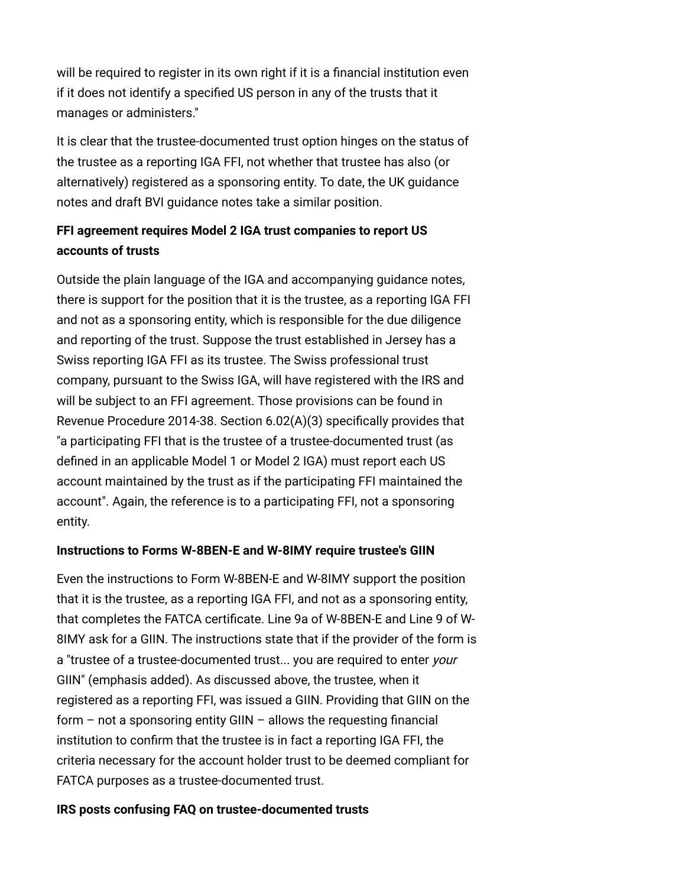will be required to register in its own right if it is a financial institution even if it does not identify a specified US person in any of the trusts that it manages or administers."

It is clear that the trustee-documented trust option hinges on the status of the trustee as a reporting IGA FFI, not whether that trustee has also (or alternatively) registered as a sponsoring entity. To date, the UK guidance notes and draft BVI guidance notes take a similar position.

### <span id="page-4-0"></span>**FFI agreement requires Model 2 IGA trust companies to report US accounts of trusts**

Outside the plain language of the IGA and accompanying guidance notes, there is support for the position that it is the trustee, as a reporting IGA FFI and not as a sponsoring entity, which is responsible for the due diligence and reporting of the trust. Suppose the trust established in Jersey has a Swiss reporting IGA FFI as its trustee. The Swiss professional trust company, pursuant to the Swiss IGA, will have registered with the IRS and will be subject to an FFI agreement. Those provisions can be found in Revenue Procedure 2014-38. Section 6.02(A)(3) specifically provides that "a participating FFI that is the trustee of a trustee-documented trust (as defined in an applicable Model 1 or Model 2 IGA) must report each US account maintained by the trust as if the participating FFI maintained the account". Again, the reference is to a participating FFI, not a sponsoring entity.

### <span id="page-4-1"></span>**Instructions to Forms W-8BEN-E and W-8IMY require trustee's GIIN**

Even the instructions to Form W-8BEN-E and W-8IMY support the position that it is the trustee, as a reporting IGA FFI, and not as a sponsoring entity, that completes the FATCA certificate. Line 9a of W-8BEN-E and Line 9 of W-8IMY ask for a GIIN. The instructions state that if the provider of the form is a "trustee of a trustee-documented trust... you are required to enter your GIIN" (emphasis added). As discussed above, the trustee, when it registered as a reporting FFI, was issued a GIIN. Providing that GIIN on the form – not a sponsoring entity GIIN – allows the requesting financial institution to confirm that the trustee is in fact a reporting IGA FFI, the criteria necessary for the account holder trust to be deemed compliant for FATCA purposes as a trustee-documented trust.

### <span id="page-4-2"></span>**IRS posts confusing FAQ on trustee-documented trusts**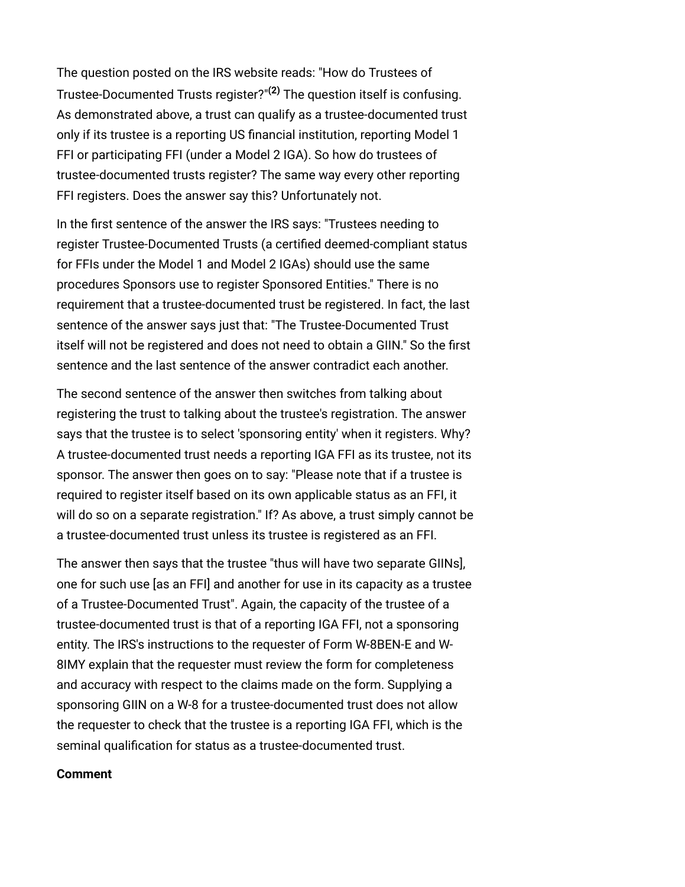The question posted on the IRS website reads: "How do Trustees of Trustee-Documented Trusts register?"**[\(2\)](#page-7-0)** The question itself is confusing. As demonstrated above, a trust can qualify as a trustee-documented trust only if its trustee is a reporting US financial institution, reporting Model 1 FFI or participating FFI (under a Model 2 IGA). So how do trustees of trustee-documented trusts register? The same way every other reporting FFI registers. Does the answer say this? Unfortunately not.

In the first sentence of the answer the IRS says: "Trustees needing to register Trustee-Documented Trusts (a certified deemed-compliant status for FFIs under the Model 1 and Model 2 IGAs) should use the same procedures Sponsors use to register Sponsored Entities." There is no requirement that a trustee-documented trust be registered. In fact, the last sentence of the answer says just that: "The Trustee-Documented Trust itself will not be registered and does not need to obtain a GIIN." So the first sentence and the last sentence of the answer contradict each another.

The second sentence of the answer then switches from talking about registering the trust to talking about the trustee's registration. The answer says that the trustee is to select 'sponsoring entity' when it registers. Why? A trustee-documented trust needs a reporting IGA FFI as its trustee, not its sponsor. The answer then goes on to say: "Please note that if a trustee is required to register itself based on its own applicable status as an FFI, it will do so on a separate registration." If? As above, a trust simply cannot be a trustee-documented trust unless its trustee is registered as an FFI.

The answer then says that the trustee "thus will have two separate GIINs], one for such use [as an FFI] and another for use in its capacity as a trustee of a Trustee-Documented Trust". Again, the capacity of the trustee of a trustee-documented trust is that of a reporting IGA FFI, not a sponsoring entity. The IRS's instructions to the requester of Form W-8BEN-E and W-8IMY explain that the requester must review the form for completeness and accuracy with respect to the claims made on the form. Supplying a sponsoring GIIN on a W-8 for a trustee-documented trust does not allow the requester to check that the trustee is a reporting IGA FFI, which is the seminal qualification for status as a trustee-documented trust.

#### <span id="page-5-0"></span>**Comment**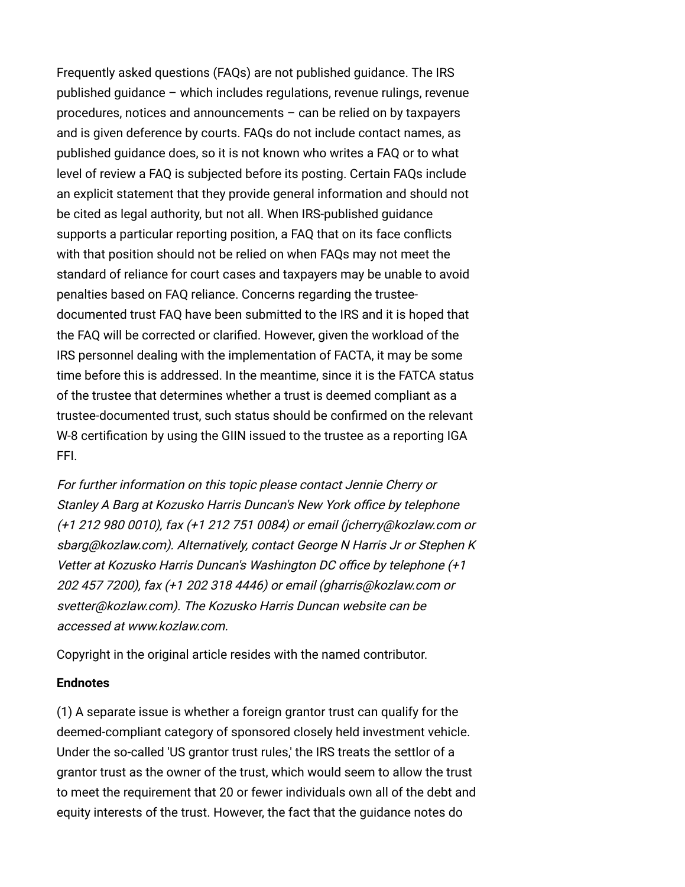Frequently asked questions (FAQs) are not published guidance. The IRS published guidance – which includes regulations, revenue rulings, revenue procedures, notices and announcements – can be relied on by taxpayers and is given deference by courts. FAQs do not include contact names, as published guidance does, so it is not known who writes a FAQ or to what level of review a FAQ is subjected before its posting. Certain FAQs include an explicit statement that they provide general information and should not be cited as legal authority, but not all. When IRS-published guidance supports a particular reporting position, a FAQ that on its face conflicts with that position should not be relied on when FAQs may not meet the standard of reliance for court cases and taxpayers may be unable to avoid penalties based on FAQ reliance. Concerns regarding the trusteedocumented trust FAQ have been submitted to the IRS and it is hoped that the FAQ will be corrected or clarified. However, given the workload of the IRS personnel dealing with the implementation of FACTA, it may be some time before this is addressed. In the meantime, since it is the FATCA status of the trustee that determines whether a trust is deemed compliant as a trustee-documented trust, such status should be confirmed on the relevant W-8 certification by using the GIIN issued to the trustee as a reporting IGA FFI.

For further information on this topic please contact [Jennie Cherry](http://www.internationallawoffice.com/directory/biography.aspx?r=36050) or [Stanley A Barg](http://www.internationallawoffice.com/directory/Biography.aspx?g=baf114fa-bb75-4313-94e1-12ccfc39afcc) at Kozusko Harris Duncan's New York office by telephone (+1 212 980 0010), fax (+1 212 751 0084) or email [\(jcherry@kozlaw.com](mailto:jcherry@kozlaw.com?subject=Article%20on%20ILO) or [sbarg@kozlaw.co](mailto:sbarg@kozlaw.com?subject=Article%20on%20ILO)[m\). Alternatively, contact](http://www.internationallawoffice.com/directory/Biography.aspx?g=dc5964f5-f288-4278-93f9-0bd537272a20) [George N Harris J](http://www.internationallawoffice.com/directory/Biography.aspx?g=933547e5-d028-4f2c-a296-1b010d9ee953)[r or Stephen K](http://www.internationallawoffice.com/directory/Biography.aspx?g=dc5964f5-f288-4278-93f9-0bd537272a20) Vetter at Kozusko Harris Duncan's Washington DC office by telephone (+1 202 457 7200), fax (+1 202 318 4446) or email [\(gharris@kozlaw.com](mailto:gharris@kozlaw.com?subject=Article%20on%20ILO) or [svetter@kozlaw.com\)](mailto:svetter@kozlaw.com?subject=Article%20on%20ILO). The Kozusko Harris Duncan website can be accessed at [www.kozlaw.com](http://www.kozlaw.com/).

Copyright in the original article resides with the named contributor.

#### **Endnotes**

<span id="page-6-0"></span>(1) A separate issue is whether a foreign grantor trust can qualify for the deemed-compliant category of sponsored closely held investment vehicle. Under the so-called 'US grantor trust rules,' the IRS treats the settlor of a grantor trust as the owner of the trust, which would seem to allow the trust to meet the requirement that 20 or fewer individuals own all of the debt and equity interests of the trust. However, the fact that the guidance notes do